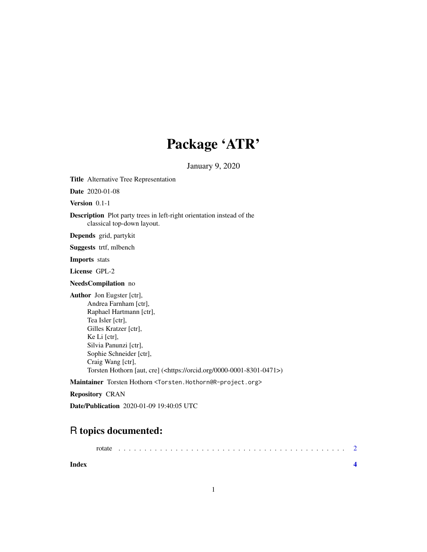## Package 'ATR'

January 9, 2020

Title Alternative Tree Representation

Date 2020-01-08

Version 0.1-1

Description Plot party trees in left-right orientation instead of the classical top-down layout.

Depends grid, partykit

Suggests trtf, mlbench

Imports stats

License GPL-2

NeedsCompilation no

Author Jon Eugster [ctr], Andrea Farnham [ctr], Raphael Hartmann [ctr], Tea Isler [ctr], Gilles Kratzer [ctr], Ke Li [ctr], Silvia Panunzi [ctr], Sophie Schneider [ctr], Craig Wang [ctr], Torsten Hothorn [aut, cre] (<https://orcid.org/0000-0001-8301-0471>)

Maintainer Torsten Hothorn <Torsten.Hothorn@R-project.org>

Repository CRAN

Date/Publication 2020-01-09 19:40:05 UTC

### R topics documented:

| Index |  |  |  |  |  |  |  |  |  |  |  |  |  |  |  |  |  |  |  |  |
|-------|--|--|--|--|--|--|--|--|--|--|--|--|--|--|--|--|--|--|--|--|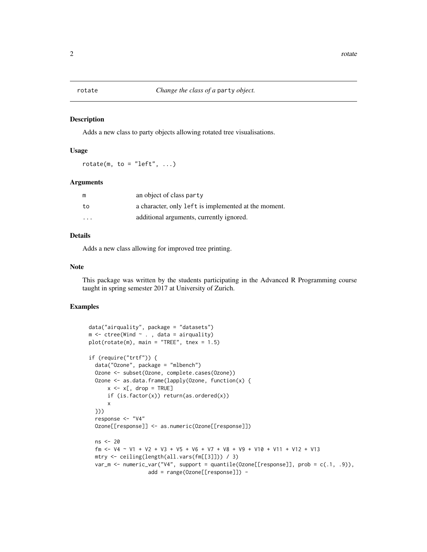#### <span id="page-1-0"></span>Description

Adds a new class to party objects allowing rotated tree visualisations.

### Usage

rotate(m, to = "left",  $\ldots$ )

#### Arguments

| m                       | an object of class party                             |
|-------------------------|------------------------------------------------------|
| to                      | a character, only left is implemented at the moment. |
| $\cdot$ $\cdot$ $\cdot$ | additional arguments, currently ignored.             |

#### Details

Adds a new class allowing for improved tree printing.

#### Note

This package was written by the students participating in the Advanced R Programming course taught in spring semester 2017 at University of Zurich.

#### Examples

```
data("airquality", package = "datasets")
m \le ctree(Wind \sim ., data = airquality)
plot(rotate(m), main = "TREE", tnex = 1.5)
if (require("trtf")) {
  data("Ozone", package = "mlbench")
 Ozone <- subset(Ozone, complete.cases(Ozone))
  Ozone <- as.data.frame(lapply(Ozone, function(x) {
     x \le -x[, drop = TRUE]
     if (is.factor(x)) return(as.ordered(x))
      x
  }))
  response <- "V4"
  Ozone[[response]] <- as.numeric(Ozone[[response]])
  ns <- 20
  fm <- V4 \sim V1 + V2 + V3 + V5 + V6 + V7 + V8 + V9 + V10 + V11 + V12 + V13mtry <- ceiling(length(all.vars(fm[[3]])) / 3)
  var_m <- numeric_var("V4", support = quantile(Ozone[[response]], prob = c(.1, .9)),
                   add = range(Ozone[[response]]) -
```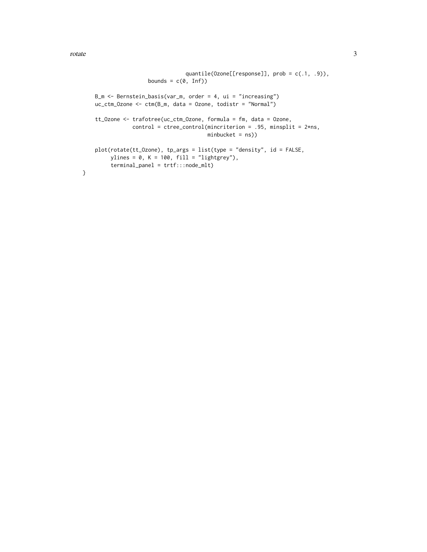rotate 3

}

```
quantile(Ozone[[response]], prob = c(.1, .9)),
                 bounds = c(\emptyset, \text{Inf})B_m <- Bernstein_basis(var_m, order = 4, ui = "increasing")
uc_ctm_Ozone <- ctm(B_m, data = Ozone, todistr = "Normal")
tt_Ozone <- trafotree(uc_ctm_Ozone, formula = fm, data = Ozone,
            control = tree_{control(mincription = .95, minsplit = 2*ns,minbucket = ns))
plot(rotate(tt_Ozone), tp_args = list(type = "density", id = FALSE,
     ylines = 0, K = 100, fill = "lightgrey"),terminal_panel = trtf:::node_mlt)
```